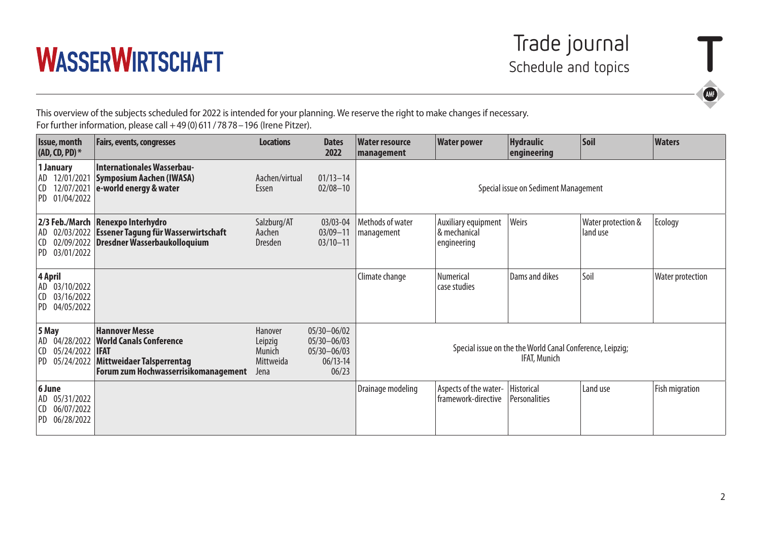

This overview of the subjects scheduled for 2022 is intended for your planning. We reserve the right to make changes if necessary. For further information, please call +49(0)611/7878–196 (Irene Pitzer).

| Issue, month<br>$(AD, CD, PD)^*$ |                                              | <b>Fairs, events, congresses</b>                                                                                                    | <b>Locations</b>                                  | <b>Dates</b><br>2022                                                           | <b>Water resource</b><br>management                                       | <b>Water power</b>                                 | <b>Hydraulic</b><br>engineering | Soil                           | <b>Waters</b>         |
|----------------------------------|----------------------------------------------|-------------------------------------------------------------------------------------------------------------------------------------|---------------------------------------------------|--------------------------------------------------------------------------------|---------------------------------------------------------------------------|----------------------------------------------------|---------------------------------|--------------------------------|-----------------------|
| ICD.                             | 1 January<br>AD 12/01/2021<br>PD 01/04/2022  | <b>Internationales Wasserbau-</b><br>Symposium Aachen (IWASA)<br>$12/07/2021$ e-world energy & water                                | Aachen/virtual<br>Essen                           | $01/13 - 14$<br>$02/08 - 10$                                                   | Special issue on Sediment Management                                      |                                                    |                                 |                                |                       |
| ICD.                             | PD 03/01/2022                                | 2/3 Feb./March Renexpo Interhydro<br>AD 02/03/2022 Essener Tagung für Wasserwirtschaft<br>02/09/2022 Dresdner Wasserbaukolloquium   | Salzburg/AT<br>Aachen<br><b>Dresden</b>           | $03/03 - 04$<br>$03/09 - 11$<br>$03/10 - 11$                                   | Methods of water<br>management                                            | Auxiliary equipment<br>& mechanical<br>engineering | Weirs                           | Water protection &<br>land use | Ecology               |
| 4 April<br>CD.                   | AD 03/10/2022<br>03/16/2022<br>PD 04/05/2022 |                                                                                                                                     |                                                   |                                                                                | Climate change                                                            | Numerical<br>case studies                          | Dams and dikes                  | Soil                           | Water protection      |
| 5 May<br>CD.                     | 05/24/2022 <b>IFAT</b><br>PD 05/24/2022      | <b>Hannover Messe</b><br>AD 04/28/2022 World Canals Conference<br>Mittweidaer Talsperrentag<br>Forum zum Hochwasserrisikomanagement | Hanover<br>Leipzig<br>Munich<br>Mittweida<br>Jena | $05/30 - 06/02$<br>$05/30 - 06/03$<br>$05/30 - 06/03$<br>$06/13 - 14$<br>06/23 | Special issue on the the World Canal Conference, Leipzig;<br>IFAT, Munich |                                                    |                                 |                                |                       |
| 6 June<br>CD.                    | AD 05/31/2022<br>06/07/2022<br>PD 06/28/2022 |                                                                                                                                     |                                                   |                                                                                | Drainage modeling                                                         | Aspects of the water-<br>framework-directive       | Historical<br>Personalities     | Land use                       | <b>Fish migration</b> |